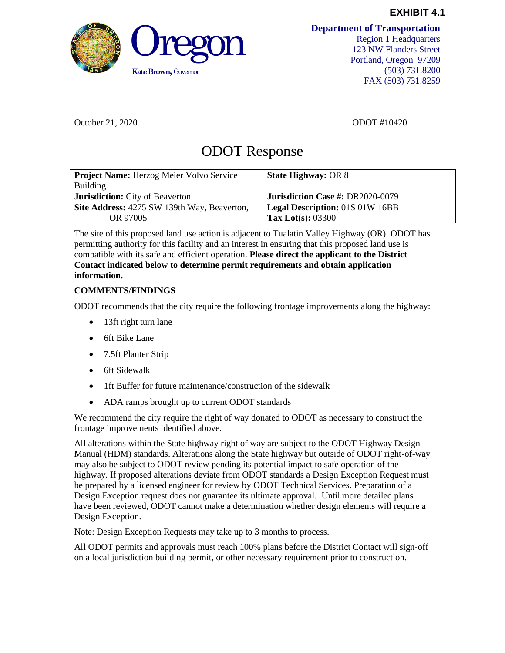

**Department of Transportation**

Region 1 Headquarters 123 NW Flanders Street Portland, Oregon 97209 (503) 731.8200 FAX (503) 731.8259

October 21, 2020 ODOT #10420

## ODOT Response

| Project Name: Herzog Meier Volvo Service<br><b>Building</b> | <b>State Highway: OR 8</b>             |
|-------------------------------------------------------------|----------------------------------------|
| <b>Jurisdiction:</b> City of Beaverton                      | Jurisdiction Case #: DR2020-0079       |
| Site Address: 4275 SW 139th Way, Beaverton,                 | <b>Legal Description: 01S 01W 16BB</b> |
| OR 97005                                                    | Tax Lot(s): $03300$                    |

The site of this proposed land use action is adjacent to Tualatin Valley Highway (OR). ODOT has permitting authority for this facility and an interest in ensuring that this proposed land use is compatible with its safe and efficient operation. **Please direct the applicant to the District Contact indicated below to determine permit requirements and obtain application information.**

## **COMMENTS/FINDINGS**

ODOT recommends that the city require the following frontage improvements along the highway:

- 13ft right turn lane
- 6ft Bike Lane
- 7.5ft Planter Strip
- 6ft Sidewalk
- 1ft Buffer for future maintenance/construction of the sidewalk
- ADA ramps brought up to current ODOT standards

We recommend the city require the right of way donated to ODOT as necessary to construct the frontage improvements identified above.

All alterations within the State highway right of way are subject to the ODOT Highway Design Manual (HDM) standards. Alterations along the State highway but outside of ODOT right-of-way may also be subject to ODOT review pending its potential impact to safe operation of the highway. If proposed alterations deviate from ODOT standards a Design Exception Request must be prepared by a licensed engineer for review by ODOT Technical Services. Preparation of a Design Exception request does not guarantee its ultimate approval. Until more detailed plans have been reviewed, ODOT cannot make a determination whether design elements will require a Design Exception.

Note: Design Exception Requests may take up to 3 months to process.

All ODOT permits and approvals must reach 100% plans before the District Contact will sign-off on a local jurisdiction building permit, or other necessary requirement prior to construction.